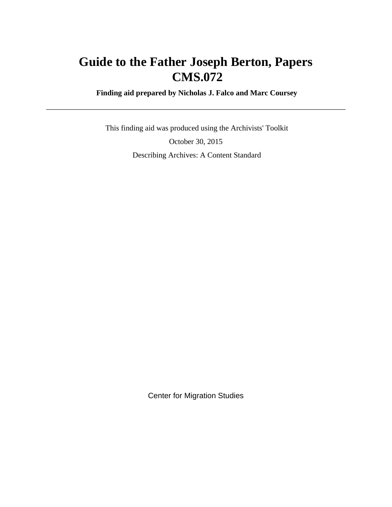# **Guide to the Father Joseph Berton, Papers CMS.072**

 **Finding aid prepared by Nicholas J. Falco and Marc Coursey**

 This finding aid was produced using the Archivists' Toolkit October 30, 2015 Describing Archives: A Content Standard

Center for Migration Studies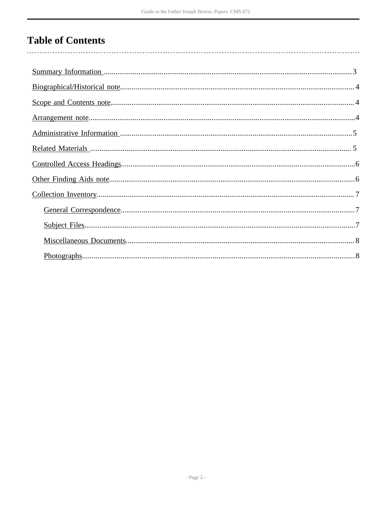# **Table of Contents**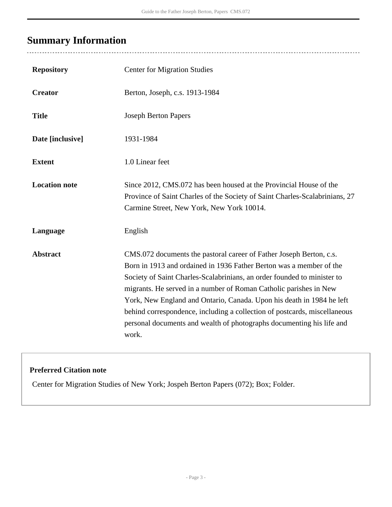# <span id="page-2-0"></span>**Summary Information**

| <b>Repository</b>    | <b>Center for Migration Studies</b>                                                                                                                                                                                                                                                                                                                                                                                                                                                                                                |
|----------------------|------------------------------------------------------------------------------------------------------------------------------------------------------------------------------------------------------------------------------------------------------------------------------------------------------------------------------------------------------------------------------------------------------------------------------------------------------------------------------------------------------------------------------------|
| <b>Creator</b>       | Berton, Joseph, c.s. 1913-1984                                                                                                                                                                                                                                                                                                                                                                                                                                                                                                     |
| <b>Title</b>         | <b>Joseph Berton Papers</b>                                                                                                                                                                                                                                                                                                                                                                                                                                                                                                        |
| Date [inclusive]     | 1931-1984                                                                                                                                                                                                                                                                                                                                                                                                                                                                                                                          |
| <b>Extent</b>        | 1.0 Linear feet                                                                                                                                                                                                                                                                                                                                                                                                                                                                                                                    |
| <b>Location note</b> | Since 2012, CMS.072 has been housed at the Provincial House of the<br>Province of Saint Charles of the Society of Saint Charles-Scalabrinians, 27<br>Carmine Street, New York, New York 10014.                                                                                                                                                                                                                                                                                                                                     |
| Language             | English                                                                                                                                                                                                                                                                                                                                                                                                                                                                                                                            |
| <b>Abstract</b>      | CMS.072 documents the pastoral career of Father Joseph Berton, c.s.<br>Born in 1913 and ordained in 1936 Father Berton was a member of the<br>Society of Saint Charles-Scalabrinians, an order founded to minister to<br>migrants. He served in a number of Roman Catholic parishes in New<br>York, New England and Ontario, Canada. Upon his death in 1984 he left<br>behind correspondence, including a collection of postcards, miscellaneous<br>personal documents and wealth of photographs documenting his life and<br>work. |

### **Preferred Citation note**

Center for Migration Studies of New York; Jospeh Berton Papers (072); Box; Folder.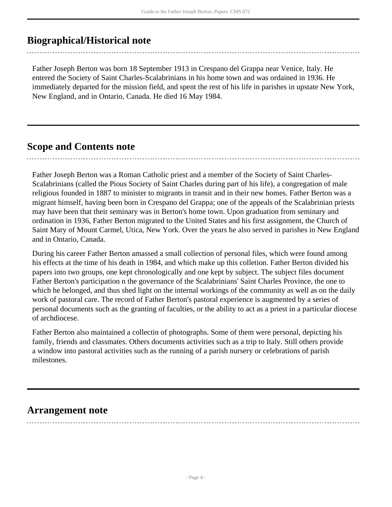## <span id="page-3-0"></span>**Biographical/Historical note**

Father Joseph Berton was born 18 September 1913 in Crespano del Grappa near Venice, Italy. He entered the Society of Saint Charles-Scalabrinians in his home town and was ordained in 1936. He immediately departed for the mission field, and spent the rest of his life in parishes in upstate New York, New England, and in Ontario, Canada. He died 16 May 1984.

## <span id="page-3-1"></span>**Scope and Contents note**

Father Joseph Berton was a Roman Catholic priest and a member of the Society of Saint Charles-Scalabrinians (called the Pious Society of Saint Charles during part of his life), a congregation of male religious founded in 1887 to minister to migrants in transit and in their new homes. Father Berton was a migrant himself, having been born in Crespano del Grappa; one of the appeals of the Scalabrinian priests may have been that their seminary was in Berton's home town. Upon graduation from seminary and ordination in 1936, Father Berton migrated to the United States and his first assignment, the Church of Saint Mary of Mount Carmel, Utica, New York. Over the years he also served in parishes in New England and in Ontario, Canada.

During his career Father Berton amassed a small collection of personal files, which were found among his effects at the time of his death in 1984, and which make up this colletion. Father Berton divided his papers into two groups, one kept chronologically and one kept by subject. The subject files document Father Berton's participation n the governance of the Scalabrinians' Saint Charles Province, the one to which he belonged, and thus shed light on the internal workings of the community as well as on the daily work of pastoral care. The record of Father Berton's pastoral experience is augmented by a series of personal documents such as the granting of faculties, or the ability to act as a priest in a particular diocese of archdiocese.

Father Berton also maintained a collectin of photographs. Some of them were personal, depicting his family, friends and classmates. Others documents activities such as a trip to Italy. Still others provide a window into pastoral activities such as the running of a parish nursery or celebrations of parish milestones.

## <span id="page-3-2"></span>**Arrangement note**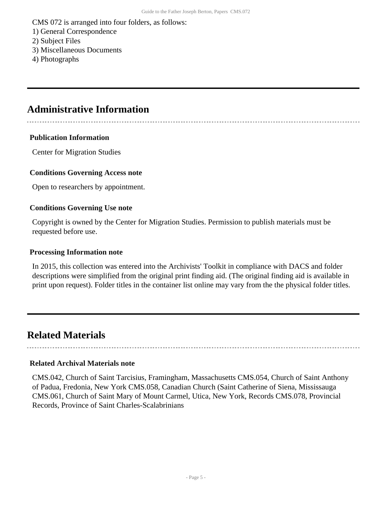CMS 072 is arranged into four folders, as follows:

- 1) General Correspondence
- 2) Subject Files
- 3) Miscellaneous Documents
- 4) Photographs

## <span id="page-4-0"></span>**Administrative Information**

#### **Publication Information**

Center for Migration Studies

#### **Conditions Governing Access note**

Open to researchers by appointment.

#### **Conditions Governing Use note**

Copyright is owned by the Center for Migration Studies. Permission to publish materials must be requested before use.

#### **Processing Information note**

In 2015, this collection was entered into the Archivists' Toolkit in compliance with DACS and folder descriptions were simplified from the original print finding aid. (The original finding aid is available in print upon request). Folder titles in the container list online may vary from the the physical folder titles.

## <span id="page-4-1"></span>**Related Materials**

#### **Related Archival Materials note**

CMS.042, Church of Saint Tarcisius, Framingham, Massachusetts CMS.054, Church of Saint Anthony of Padua, Fredonia, New York CMS.058, Canadian Church (Saint Catherine of Siena, Mississauga CMS.061, Church of Saint Mary of Mount Carmel, Utica, New York, Records CMS.078, Provincial Records, Province of Saint Charles-Scalabrinians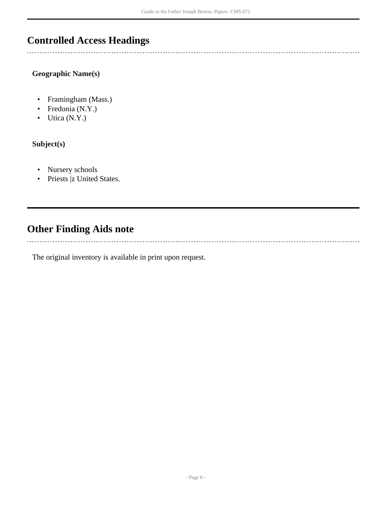## <span id="page-5-0"></span>**Controlled Access Headings**

**Geographic Name(s)**

- Framingham (Mass.)
- Fredonia (N.Y.)
- Utica (N.Y.)

**Subject(s)**

 $\mathbb{R}$ 

- Nursery schools
- Priests |z United States.

## <span id="page-5-1"></span>**Other Finding Aids note**

The original inventory is available in print upon request.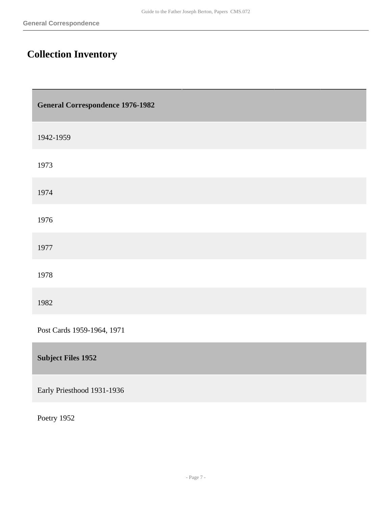Г

# <span id="page-6-0"></span>**Collection Inventory**

<span id="page-6-1"></span>

| <b>General Correspondence 1976-1982</b> |
|-----------------------------------------|
| 1942-1959                               |
| 1973                                    |
| 1974                                    |
| 1976                                    |
| 1977                                    |
| 1978                                    |
| 1982                                    |
| Post Cards 1959-1964, 1971              |
| <b>Subject Files 1952</b>               |
| Early Priesthood 1931-1936              |

<span id="page-6-2"></span>Poetry 1952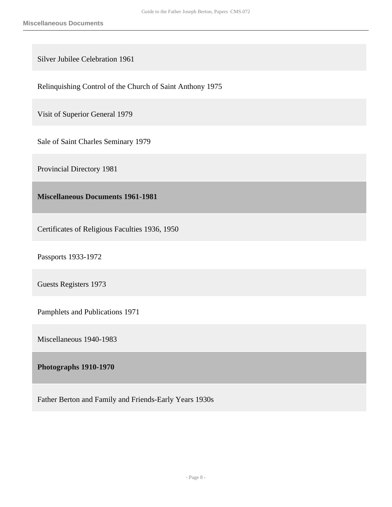Silver Jubilee Celebration 1961

Relinquishing Control of the Church of Saint Anthony 1975

Visit of Superior General 1979

Sale of Saint Charles Seminary 1979

Provincial Directory 1981

<span id="page-7-0"></span>**Miscellaneous Documents 1961-1981** 

Certificates of Religious Faculties 1936, 1950

Passports 1933-1972

Guests Registers 1973

Pamphlets and Publications 1971

Miscellaneous 1940-1983

#### <span id="page-7-1"></span>**Photographs 1910-1970**

Father Berton and Family and Friends-Early Years 1930s